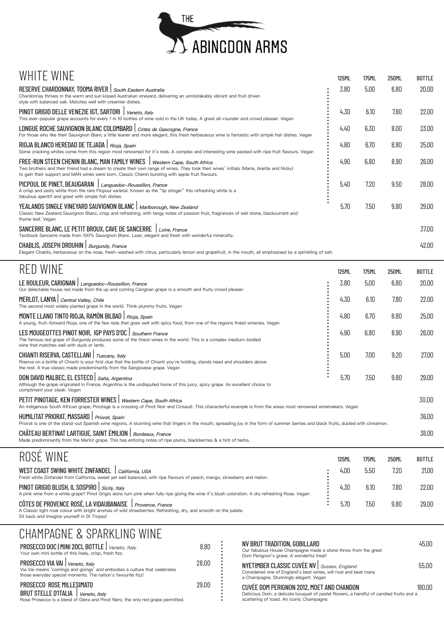

| RESERVE CHARDONNAY, TOOMA RIVER   South Eastern Australia<br>Chardonnay thrives in the warm and sun kissed Australian vineyard, delivering an unmistakably vibrant and fruit driven                                                                                                                                                                                                                                    | 3.80         | 5.00  | 6.80  | 20.00         |
|------------------------------------------------------------------------------------------------------------------------------------------------------------------------------------------------------------------------------------------------------------------------------------------------------------------------------------------------------------------------------------------------------------------------|--------------|-------|-------|---------------|
| style with balanced oak. Matches well with creamier dishes.<br>PINOT GRIGIO DELLE VENEZIE IGT, SARTORI   Veneto, Italy<br>This ever-popular grape accounts for every 1 in 10 bottles of wine sold in the UK today. A great all-rounder and crowd pleaser. Vegan                                                                                                                                                        | 4.30         | 6.10  | 7.80  | 22.00         |
| LONGUE ROCHE SAUVIGNON BLANC COLOMBARD   Côtes de Gascogne, France<br>For those who like their Sauvignon Blanc a little leaner and more elegant, this fresh herbaceous wine is fantastic with simple fish dishes. Vegan                                                                                                                                                                                                | 4.40         | 6.30  | 8.00  | 23.00         |
| RIOJA BLANCO HEREDAD DE TEJADA   Rioja, Spain<br>Some cracking whites come from this region most renowned for it's reds. A complex and interesting wine packed with ripe fruit flavours. Vegan                                                                                                                                                                                                                         | 4.80         | 6.70  | 8.80  | 25.00         |
| FREE-RUN STEEN CHENIN BLANC, MAN FAMILY WINES   Western Cape, South Africa<br>Two brothers and their friend had a dream to create their own range of wines. They took their wives' initials (Marie, Anette and Nicky)<br>to gain their support and MAN wines were born. Classic Chenin bursting with apple fruit flavours.                                                                                             | 4.90         | 6.80  | 8.90  | 26.00         |
| PICPOUL DE PINET, BEAUGARAN   Languedoc-Roussillon, France<br>A crisp and zesty white from the rare Picpoul varietal. Known as the "lip stinger" this refreshing white is a<br>fabulous aperitif and great with simple fish dishes.                                                                                                                                                                                    | 5.40         | 7.20  | 9.50  | 28.00         |
| YEALANDS SINGLE VINEYARD SAUVIGNON BLANC   Marlborough, New Zealand<br>Classic New Zealand Sauvignon Blanc, crisp and refreshing, with tangy notes of passion fruit, fragrances of wet stone, blackcurrant and<br>thyme leaf. Vegan                                                                                                                                                                                    | 5.70         | 7.50  | 9.80  | 29.00         |
| SANCERRE BLANC, LE PETIT BROUX, CAVE DE SANCERRE   Loire, France<br>Textbook Sancerre made from 100% Sauvignon Blanc. Lean, elegant and fresh with wonderful minerality.                                                                                                                                                                                                                                               |              |       |       | 37.00         |
| CHABLIS, JOSEPH DROUHIN   Burgundy, France<br>Elegant Chablis, herbaceous on the nose, fresh-washed with citrus, particularly lemon and grapefruit, in the mouth, all emphasised by a sprinkling of salt.                                                                                                                                                                                                              |              |       |       | 42.00         |
| <b>RED WINE</b>                                                                                                                                                                                                                                                                                                                                                                                                        | <b>125ML</b> | 175ML | 250ML | <b>BOTTLE</b> |
| LE ROULEUR, CARIGNAN   Languedoc-Roussillon, France<br>Our delectable house red made from the up and coming Carignan grape is a smooth and fruity crowd pleaser.                                                                                                                                                                                                                                                       | 3.80         | 5.00  | 6.80  | 20.00         |
| MERLOT, LANYA   Central Valley, Chile<br>The second most widely planted grape in the world. Think plummy fruits. Vegan                                                                                                                                                                                                                                                                                                 | 4.30         | 6.10  | 7.80  | 22.00         |
|                                                                                                                                                                                                                                                                                                                                                                                                                        |              |       |       |               |
| MONTE LLANO TINTO RIOJA, RAMÓN BILBAO   Rioja, Spain<br>A young, fruit-forward Rioja, one of the few reds that goes well with spicy food, from one of the regions finest wineries. Vegan                                                                                                                                                                                                                               | 4.80         | 6.70  | 8.80  | 25.00         |
| LES MOUGEOTTES PINOT NOIR, IGP PAYS D'OC   Southern France<br>The famous red grape of Burgundy produces some of the finest wines in the world. This is a complex medium-bodied<br>wine that matches well with duck or lamb.                                                                                                                                                                                            | 4.90         | 6.80  | 8.90  | 26.00         |
| CHIANTI RISERVA, CASTELLANI   Tuscany, Italy<br>Riserva on a bottle of Chianti is your first clue that the bottle of Chianti you're holding, stands head and shoulders above<br>the rest. A true classic made predominantly from the Sangiovese grape. Vegan                                                                                                                                                           | 5.00         | 7.00  | 9.20  | 27.00         |
| DON DAVID MALBEC, EL ESTECO   Salta, Argentina<br>Although the grape originated in France, Argentina is the undisputed home of this juicy, spicy grape. An excellent choice to<br>compliment your steak. Vegan                                                                                                                                                                                                         | 5.70         | 7.50  | 9.80  | 29.00         |
| PETIT PINOTAGE, KEN FORRESTER WINES   Western Cape, South Africa<br>An indigenous South African grape, Pinotage is a crossing of Pinot Noir and Cinsault. This characterful example is from the areas most renowned winemakers. Vegan                                                                                                                                                                                  |              |       |       | 30.00         |
|                                                                                                                                                                                                                                                                                                                                                                                                                        |              |       |       | 36.00         |
| HUMILITAT PRIORAT, MASSARD   Priorat, Spain<br>Priorat is one of the stand-out Spanish wine regions. A stunning wine that lingers in the mouth, spreading joy in the form of summer berries and black fruits, dusted with cinnamon.<br>CHÂTEAU BERTINAT LARTIGUE, SAINT ÉMILION   Bordeaux, France<br>Made predominantly from the Merlot grape. This has enticing notes of ripe plums, blackberries & a hint of herbs. |              |       |       | 38.00         |

NV BRUT TRADITION, GOBILLARD 45.00 Our fabulous House Champagne made a stone throw from the great Dom Perignon's grave. A wonderful treat! NYETIMBER CLASSIC CUVÉE NV | Sussex, England 55.00 Considered one of England's best wines, will rival and beat many a Champagne. Stunningly elegant. Vegan CUVÉE DOM PERIGNON 2012, MOET AND CHANDON 180.00 Delicious Dom, a delicate bouquet of pastel flowers, a handful of candied fruits and a scattering of toast. An iconic Champagne.

| INUUL IIIIIL                                           |                 | IZƏFIL | <b>TILICT</b> | ZJUITL | <b>DUILLE</b> |
|--------------------------------------------------------|-----------------|--------|---------------|--------|---------------|
| <b>SWING WHITE ZINFANDEL</b><br>, COAST<br><b>WEST</b> | California, USA | 4.00   | h hi<br>いいい   | 7.20   | 21.00         |

Fresh white Zinfandel from California, sweet yet well balanced, with ripe flavours of peach, mango, strawberry and melon.

A pink wine from a white grape? Pinot Grigio skins turn pink when fully ripe giving the wine it's blush coloration. A dry refreshing Rose. Vegan

#### CÔTES DE PROVENCE ROSÉ, LA VIDAUBANAISE | Provence, France 5.70 7.50 9.80 29.00

A Classic light rosé colour with bright aromas of wild strawberries. Refreshing, dry, and smooth on the palate. Sit back and imagine yourself in St Tropez!

| PROSECCO DOC   MINI 20CL BOTTLE   Veneto, Italy<br>Your own mini bottle of this lively, crisp, fresh fizz.                                                                         | 8.80  |
|------------------------------------------------------------------------------------------------------------------------------------------------------------------------------------|-------|
| PROSECCO VIA VAI <i>veneto, Italy</i><br>Via Vai means 'comings and goings' and embodies a culture that celebrates<br>those everyday special moments. The nation's favourite fizz! | 28.00 |

Rose Prosecco is a blend of Glera and Pinot Nero, the only red grape permitted.

#### PROSECCO ROSE MILLESIMATO 29.00

BRUT STELLE D'ITALIA | Veneto, Italy

:

# PINOT GRIGIO BLUSH, IL SOSPIRO | *sicily, Italy* 22.00

#### CHAMPAGNE & SPARKLING WINE